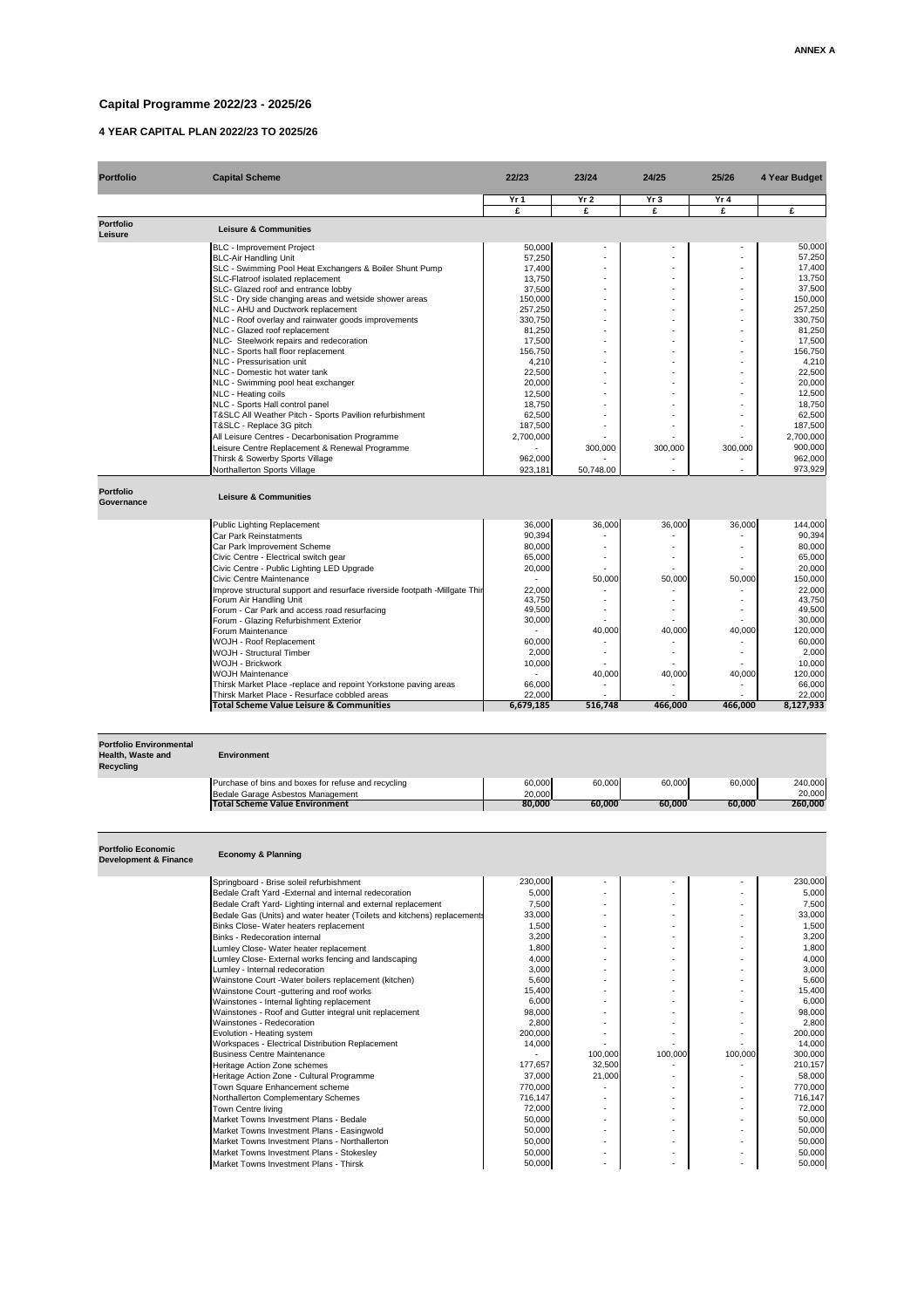## **Capital Programme 2022/23 - 2025/26**

## **4 YEAR CAPITAL PLAN 2022/23 TO 2025/26**

| <b>Portfolio</b>                      | <b>Capital Scheme</b>                                                      | 22/23     | 23/24                    | 24/25           | 25/26                    | 4 Year Budget |
|---------------------------------------|----------------------------------------------------------------------------|-----------|--------------------------|-----------------|--------------------------|---------------|
|                                       |                                                                            | Yr 1      | Yr <sub>2</sub>          | Yr <sub>3</sub> | Yr <sub>4</sub>          |               |
|                                       |                                                                            | £         | £                        | £               | £                        | £             |
| <b>Portfolio</b><br><b>Leisure</b>    | <b>Leisure &amp; Communities</b>                                           |           |                          |                 |                          |               |
|                                       | <b>BLC</b> - Improvement Project                                           | 50,000    | $\sim$                   |                 | $\sim$                   | 50,000        |
|                                       | <b>BLC-Air Handling Unit</b>                                               | 57,250    |                          |                 |                          | 57,250        |
|                                       | SLC - Swimming Pool Heat Exchangers & Boiler Shunt Pump                    | 17,400    |                          |                 |                          | 17,400        |
|                                       | SLC-Flatroof isolated replacement                                          | 13,750    | $\sim$                   |                 | $\blacksquare$           | 13,750        |
|                                       | SLC- Glazed roof and entrance lobby                                        | 37,500    |                          |                 | $\overline{\phantom{a}}$ | 37,500        |
|                                       | SLC - Dry side changing areas and wetside shower areas                     | 150,000   | $\overline{\phantom{a}}$ |                 | $\blacksquare$           | 150,000       |
|                                       | NLC - AHU and Ductwork replacement                                         | 257,250   |                          |                 | $\blacksquare$           | 257,250       |
|                                       | NLC - Roof overlay and rainwater goods improvements                        | 330,750   |                          |                 | $\blacksquare$           | 330,750       |
|                                       | NLC - Glazed roof replacement                                              | 81,250    | $\blacksquare$           |                 | $\blacksquare$           | 81,250        |
|                                       | NLC- Steelwork repairs and redecoration                                    | 17,500    |                          |                 | $\blacksquare$           | 17,500        |
|                                       | NLC - Sports hall floor replacement                                        | 156,750   |                          |                 | $\blacksquare$           | 156,750       |
|                                       | <b>NLC - Pressurisation unit</b>                                           | 4,210     |                          |                 | $\blacksquare$           | 4,210         |
|                                       | <b>NLC</b> - Domestic hot water tank                                       | 22,500    |                          |                 | $\overline{\phantom{a}}$ | 22,500        |
|                                       | NLC - Swimming pool heat exchanger                                         | 20,000    |                          |                 | $\blacksquare$           | 20,000        |
|                                       | NLC - Heating coils                                                        | 12,500    |                          |                 |                          | 12,500        |
|                                       | NLC - Sports Hall control panel                                            | 18,750    | $\blacksquare$           |                 | $\blacksquare$           | 18,750        |
|                                       | T&SLC All Weather Pitch - Sports Pavilion refurbishment                    | 62,500    |                          |                 |                          | 62,500        |
|                                       | T&SLC - Replace 3G pitch                                                   | 187,500   |                          |                 | $\overline{\phantom{a}}$ | 187,500       |
|                                       | All Leisure Centres - Decarbonisation Programme                            | 2,700,000 |                          |                 |                          | 2,700,000     |
|                                       | Leisure Centre Replacement & Renewal Programme                             |           | 300,000                  | 300,000         | 300,000                  | 900,000       |
|                                       | Thirsk & Sowerby Sports Village                                            | 962,000   |                          |                 |                          | 962,000       |
|                                       | Northallerton Sports Village                                               | 923,181   | 50,748.00                |                 |                          | 973,929       |
| <b>Portfolio</b><br><b>Governance</b> | <b>Leisure &amp; Communities</b>                                           |           |                          |                 |                          |               |
|                                       | <b>Public Lighting Replacement</b>                                         | 36,000    | 36,000                   | 36,000          | 36,000                   | 144,000       |
|                                       | <b>Car Park Reinstatments</b>                                              | 90,394    |                          |                 |                          | 90,394        |
|                                       | Car Park Improvement Scheme                                                | 80,000    |                          |                 |                          | 80,000        |
|                                       | Civic Centre - Electrical switch gear                                      | 65,000    | $\overline{\phantom{a}}$ |                 | $\blacksquare$           | 65,000        |
|                                       | Civic Centre - Public Lighting LED Upgrade                                 | 20,000    |                          |                 |                          | 20,000        |
|                                       | <b>Civic Centre Maintenance</b>                                            |           | 50,000                   | 50,000          | 50,000                   | 150,000       |
|                                       | Improve structural support and resurface riverside footpath -Millgate Thir | 22,000    |                          |                 |                          | 22,000        |
|                                       | Forum Air Handling Unit                                                    | 43,750    |                          |                 |                          | 43,750        |
|                                       | Forum - Car Park and access road resurfacing                               | 49,500    | $\blacksquare$           |                 | $\blacksquare$           | 49,500        |
|                                       | Forum - Glazing Refurbishment Exterior                                     | 30,000    |                          |                 |                          | 30,000        |
|                                       | Forum Maintenance                                                          |           | 40,000                   | 40,000          | 40,000                   | 120,000       |
|                                       | <b>WOJH - Roof Replacement</b>                                             | 60,000    |                          |                 |                          | 60,000        |
|                                       | <b>WOJH - Structural Timber</b>                                            | 2,000     |                          |                 |                          | 2,000         |
|                                       | <b>WOJH - Brickwork</b>                                                    | 10,000    |                          |                 |                          | 10,000        |

| Total Scheme Value Leisure & Communities                               | 6,679,185 | 516,748 | 466,000 | 466,000 | 8,127,933 |
|------------------------------------------------------------------------|-----------|---------|---------|---------|-----------|
| Thirsk Market Place - Resurface cobbled areas                          | 22,000    |         |         |         | 22,000    |
| <b>Thirsk Market Place -replace and repoint Yorkstone paving areas</b> | 66,000    |         |         |         | 66,000    |

Market Towns Investment Plans - Bedale **60.000** - 1 - 50,000 - 1 - 1 - 1 - 1 - 50,000 Market Towns Investment Plans - Easingwold **60.000** - 1 - 50,000 - 1 - 1 - 1 - 50,000 Market Towns Investment Plans - Northallerton 50,000 - - - 50,000 Market Towns Investment Plans - Stokesley Market Towns 1 and 50,000 - 1 and 50,000 - 1 and 50,000 - 1 and 50,000 Market Towns Investment Plans - Thirsk **50.000** - 50,000 - - - - - - - - - - - - - - - - 50,000

WOJH Maintenance 2000 2000 2000 40,000 40,000 40,000 40,000 40,000 40,000 120,000

| <b>Portfolio Environmental</b><br>Health, Waste and<br><b>Recycling</b> | <b>Environment</b>                                                      |         |                          |         |                          |         |
|-------------------------------------------------------------------------|-------------------------------------------------------------------------|---------|--------------------------|---------|--------------------------|---------|
|                                                                         | Purchase of bins and boxes for refuse and recycling                     | 60,000  | 60,000                   | 60,000  | 60,000                   | 240,000 |
|                                                                         | Bedale Garage Asbestos Management                                       | 20,000  |                          |         |                          | 20,000  |
|                                                                         | <b>Total Scheme Value Environment</b>                                   | 80,000  | 60,000                   | 60,000  | 60,000                   | 260,000 |
| <b>Portfolio Economic</b><br><b>Development &amp; Finance</b>           | <b>Economy &amp; Planning</b>                                           |         |                          |         |                          |         |
|                                                                         | Springboard - Brise soleil refurbishment                                | 230,000 |                          |         |                          | 230,000 |
|                                                                         | Bedale Craft Yard - External and internal redecoration                  | 5,000   |                          |         |                          | 5,000   |
|                                                                         | Bedale Craft Yard- Lighting internal and external replacement           | 7,500   |                          |         |                          | 7,500   |
|                                                                         | Bedale Gas (Units) and water heater (Toilets and kitchens) replacements | 33,000  |                          |         |                          | 33,000  |
|                                                                         | Binks Close- Water heaters replacement                                  | 1,500   |                          |         | $\overline{\phantom{a}}$ | 1,500   |
|                                                                         | <b>Binks - Redecoration internal</b>                                    | 3,200   |                          |         | $\overline{\phantom{a}}$ | 3,200   |
|                                                                         | Lumley Close- Water heater replacement                                  | 1,800   |                          |         | $\overline{\phantom{a}}$ | 1,800   |
|                                                                         | Lumley Close- External works fencing and landscaping                    | 4,000   |                          |         | $\overline{\phantom{a}}$ | 4,000   |
|                                                                         | Lumley - Internal redecoration                                          | 3,000   |                          |         |                          | 3,000   |
|                                                                         | Wainstone Court - Water boilers replacement (kitchen)                   | 5,600   |                          |         | $\overline{\phantom{a}}$ | 5,600   |
|                                                                         | Wainstone Court -guttering and roof works                               | 15,400  |                          |         |                          | 15,400  |
|                                                                         | Wainstones - Internal lighting replacement                              | 6,000   |                          |         |                          | 6,000   |
|                                                                         | Wainstones - Roof and Gutter integral unit replacement                  | 98,000  |                          |         | $\overline{\phantom{a}}$ | 98,000  |
|                                                                         | Wainstones - Redecoration                                               | 2,800   |                          |         | $\overline{\phantom{a}}$ | 2,800   |
|                                                                         | Evolution - Heating system                                              | 200,000 | $\overline{\phantom{0}}$ |         | $\overline{\phantom{a}}$ | 200,000 |
|                                                                         | Workspaces - Electrical Distribution Replacement                        | 14,000  |                          |         |                          | 14,000  |
|                                                                         | <b>Business Centre Maintenance</b>                                      |         | 100,000                  | 100,000 | 100,000                  | 300,000 |
|                                                                         | Heritage Action Zone schemes                                            | 177,657 | 32,500                   |         |                          | 210,157 |
|                                                                         | Heritage Action Zone - Cultural Programme                               | 37,000  | 21,000                   |         |                          | 58,000  |
|                                                                         | Town Square Enhancement scheme                                          | 770,000 |                          |         | $\blacksquare$           | 770,000 |
|                                                                         | Northallerton Complementary Schemes                                     | 716,147 |                          |         | $\overline{\phantom{a}}$ | 716,147 |
|                                                                         | <b>Town Centre living</b>                                               | 72,000  | $\overline{\phantom{a}}$ |         |                          | 72,000  |